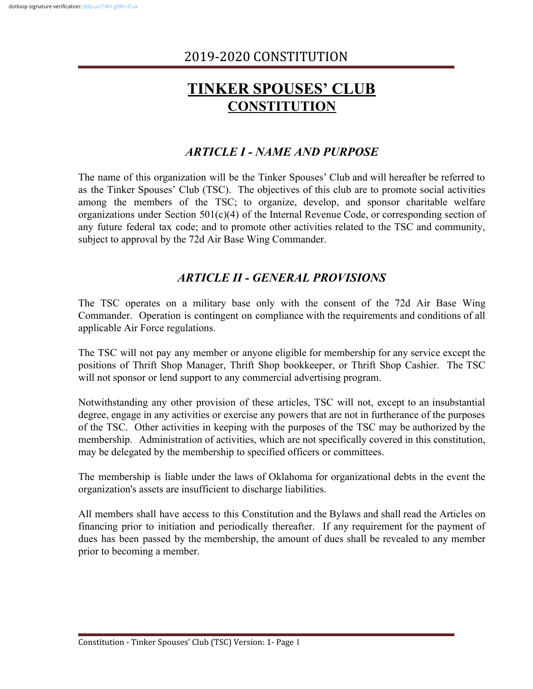# **TINKER SPOUSES' CLUB CONSTITUTION**

# *ARTICLE I - NAME AND PURPOSE*

The name of this organization will be the Tinker Spouses' Club and will hereafter be referred to as the Tinker Spouses' Club (TSC). The objectives of this club are to promote social activities among the members of the TSC; to organize, develop, and sponsor charitable welfare organizations under Section 501(c)(4) of the Internal Revenue Code, or corresponding section of any future federal tax code; and to promote other activities related to the TSC and community, subject to approval by the 72d Air Base Wing Commander.

## *ARTICLE II - GENERAL PROVISIONS*

The TSC operates on a military base only with the consent of the 72d Air Base Wing Commander. Operation is contingent on compliance with the requirements and conditions of all applicable Air Force regulations.

The TSC will not pay any member or anyone eligible for membership for any service except the positions of Thrift Shop Manager, Thrift Shop bookkeeper, or Thrift Shop Cashier. The TSC will not sponsor or lend support to any commercial advertising program.

Notwithstanding any other provision of these articles, TSC will not, except to an insubstantial degree, engage in any activities or exercise any powers that are not in furtherance of the purposes of the TSC. Other activities in keeping with the purposes of the TSC may be authorized by the membership. Administration of activities, which are not specifically covered in this constitution, may be delegated by the membership to specified officers or committees.

The membership is liable under the laws of Oklahoma for organizational debts in the event the organization's assets are insufficient to discharge liabilities.

All members shall have access to this Constitution and the Bylaws and shall read the Articles on financing prior to initiation and periodically thereafter. If any requirement for the payment of dues has been passed by the membership, the amount of dues shall be revealed to any member prior to becoming a member.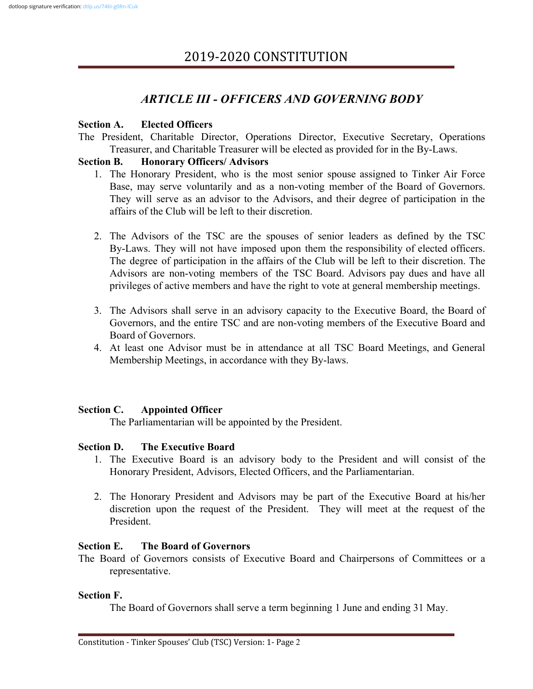# *ARTICLE III - OFFICERS AND GOVERNING BODY*

### **Section A. Elected Officers**

The President, Charitable Director, Operations Director, Executive Secretary, Operations Treasurer, and Charitable Treasurer will be elected as provided for in the By-Laws.

### **Section B. Honorary Officers/ Advisors**

- 1. The Honorary President, who is the most senior spouse assigned to Tinker Air Force Base, may serve voluntarily and as a non-voting member of the Board of Governors. They will serve as an advisor to the Advisors, and their degree of participation in the affairs of the Club will be left to their discretion.
- 2. The Advisors of the TSC are the spouses of senior leaders as defined by the TSC By-Laws. They will not have imposed upon them the responsibility of elected officers. The degree of participation in the affairs of the Club will be left to their discretion. The Advisors are non-voting members of the TSC Board. Advisors pay dues and have all privileges of active members and have the right to vote at general membership meetings.
- 3. The Advisors shall serve in an advisory capacity to the Executive Board, the Board of Governors, and the entire TSC and are non-voting members of the Executive Board and Board of Governors.
- 4. At least one Advisor must be in attendance at all TSC Board Meetings, and General Membership Meetings, in accordance with they By-laws.

### **Section C. Appointed Officer**

The Parliamentarian will be appointed by the President.

### **Section D. The Executive Board**

- 1. The Executive Board is an advisory body to the President and will consist of the Honorary President, Advisors, Elected Officers, and the Parliamentarian.
- 2. The Honorary President and Advisors may be part of the Executive Board at his/her discretion upon the request of the President. They will meet at the request of the President.

### **Section E. The Board of Governors**

The Board of Governors consists of Executive Board and Chairpersons of Committees or a representative.

### **Section F.**

The Board of Governors shall serve a term beginning 1 June and ending 31 May.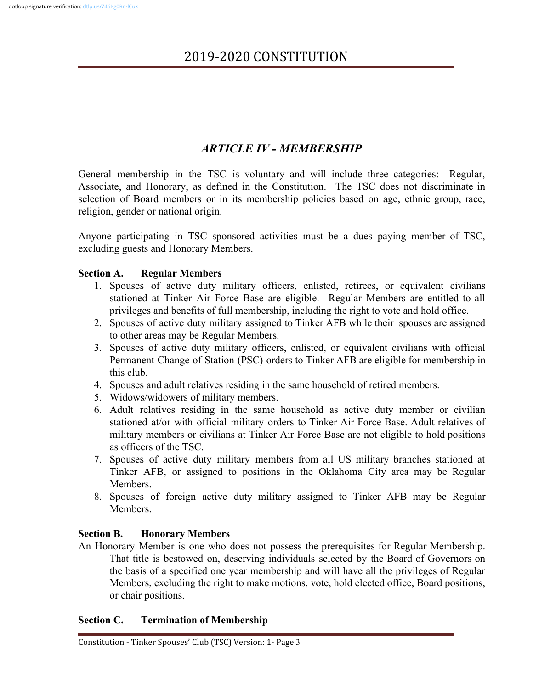# *ARTICLE IV - MEMBERSHIP*

General membership in the TSC is voluntary and will include three categories: Regular, Associate, and Honorary, as defined in the Constitution. The TSC does not discriminate in selection of Board members or in its membership policies based on age, ethnic group, race, religion, gender or national origin.

Anyone participating in TSC sponsored activities must be a dues paying member of TSC, excluding guests and Honorary Members.

#### **Section A. Regular Members**

- 1. Spouses of active duty military officers, enlisted, retirees, or equivalent civilians stationed at Tinker Air Force Base are eligible. Regular Members are entitled to all privileges and benefits of full membership, including the right to vote and hold office.
- 2. Spouses of active duty military assigned to Tinker AFB while their spouses are assigned to other areas may be Regular Members.
- 3. Spouses of active duty military officers, enlisted, or equivalent civilians with official Permanent Change of Station (PSC) orders to Tinker AFB are eligible for membership in this club.
- 4. Spouses and adult relatives residing in the same household of retired members.
- 5. Widows/widowers of military members.
- 6. Adult relatives residing in the same household as active duty member or civilian stationed at/or with official military orders to Tinker Air Force Base. Adult relatives of military members or civilians at Tinker Air Force Base are not eligible to hold positions as officers of the TSC.
- 7. Spouses of active duty military members from all US military branches stationed at Tinker AFB, or assigned to positions in the Oklahoma City area may be Regular Members.
- 8. Spouses of foreign active duty military assigned to Tinker AFB may be Regular **Members**

#### **Section B. Honorary Members**

An Honorary Member is one who does not possess the prerequisites for Regular Membership. That title is bestowed on, deserving individuals selected by the Board of Governors on the basis of a specified one year membership and will have all the privileges of Regular Members, excluding the right to make motions, vote, hold elected office, Board positions, or chair positions.

#### **Section C. Termination of Membership**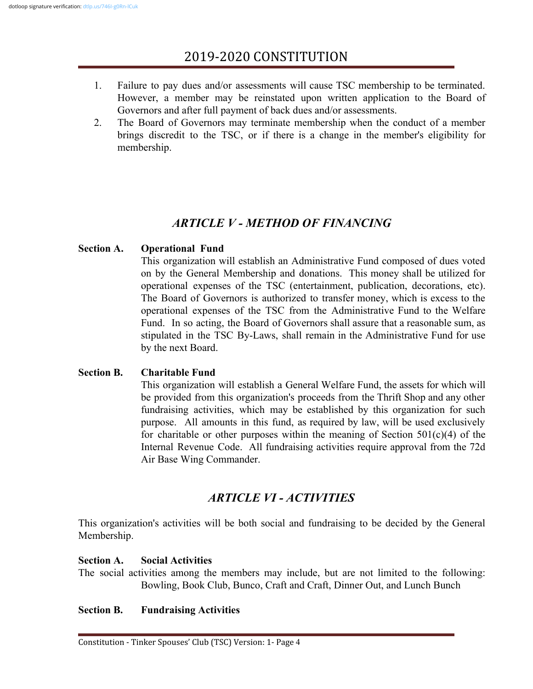- 1. Failure to pay dues and/or assessments will cause TSC membership to be terminated. However, a member may be reinstated upon written application to the Board of Governors and after full payment of back dues and/or assessments.
- 2. The Board of Governors may terminate membership when the conduct of a member brings discredit to the TSC, or if there is a change in the member's eligibility for membership.

# *ARTICLE V - METHOD OF FINANCING*

### **Section A. Operational Fund**

This organization will establish an Administrative Fund composed of dues voted on by the General Membership and donations. This money shall be utilized for operational expenses of the TSC (entertainment, publication, decorations, etc). The Board of Governors is authorized to transfer money, which is excess to the operational expenses of the TSC from the Administrative Fund to the Welfare Fund. In so acting, the Board of Governors shall assure that a reasonable sum, as stipulated in the TSC By-Laws, shall remain in the Administrative Fund for use by the next Board.

### **Section B. Charitable Fund**

This organization will establish a General Welfare Fund, the assets for which will be provided from this organization's proceeds from the Thrift Shop and any other fundraising activities, which may be established by this organization for such purpose. All amounts in this fund, as required by law, will be used exclusively for charitable or other purposes within the meaning of Section  $501(c)(4)$  of the Internal Revenue Code. All fundraising activities require approval from the 72d Air Base Wing Commander.

## *ARTICLE VI - ACTIVITIES*

This organization's activities will be both social and fundraising to be decided by the General Membership.

### **Section A. Social Activities**

The social activities among the members may include, but are not limited to the following: Bowling, Book Club, Bunco, Craft and Craft, Dinner Out, and Lunch Bunch

### **Section B. Fundraising Activities**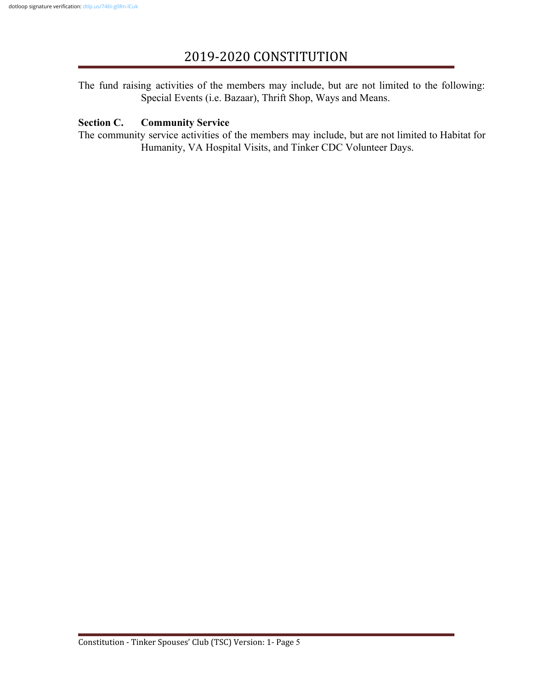The fund raising activities of the members may include, but are not limited to the following: Special Events (i.e. Bazaar), Thrift Shop, Ways and Means.

#### **Section C. Community Service**

The community service activities of the members may include, but are not limited to Habitat for Humanity, VA Hospital Visits, and Tinker CDC Volunteer Days.